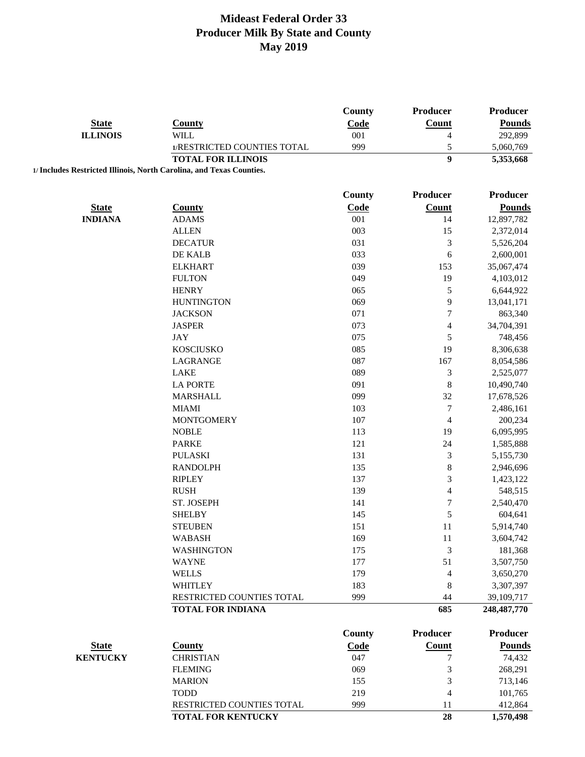|                 |                                                                      | <b>County</b> | Producer                 | Producer        |
|-----------------|----------------------------------------------------------------------|---------------|--------------------------|-----------------|
| <b>State</b>    | <b>County</b>                                                        | Code          | Count                    | <b>Pounds</b>   |
| <b>ILLINOIS</b> | WILL                                                                 | 001           | $\overline{4}$           | 292,899         |
|                 | 1/RESTRICTED COUNTIES TOTAL                                          | 999           | 5                        | 5,060,769       |
|                 | <b>TOTAL FOR ILLINOIS</b>                                            |               | $\overline{9}$           | 5,353,668       |
|                 | 1/ Includes Restricted Illinois, North Carolina, and Texas Counties. |               |                          |                 |
|                 |                                                                      |               |                          |                 |
|                 |                                                                      | <b>County</b> | Producer                 | <b>Producer</b> |
| <b>State</b>    | <b>County</b>                                                        | Code          | <b>Count</b>             | <b>Pounds</b>   |
| <b>INDIANA</b>  | <b>ADAMS</b>                                                         | 001           | 14                       | 12,897,782      |
|                 | <b>ALLEN</b>                                                         | 003           | 15                       | 2,372,014       |
|                 | <b>DECATUR</b>                                                       | 031           | $\mathfrak{Z}$           | 5,526,204       |
|                 | DE KALB                                                              | 033           | 6                        | 2,600,001       |
|                 | <b>ELKHART</b>                                                       | 039           | 153                      | 35,067,474      |
|                 | <b>FULTON</b>                                                        | 049           | 19                       | 4,103,012       |
|                 | <b>HENRY</b>                                                         | 065           | $\sqrt{5}$               | 6,644,922       |
|                 | <b>HUNTINGTON</b>                                                    | 069           | 9                        | 13,041,171      |
|                 | <b>JACKSON</b>                                                       | 071           | $\tau$                   | 863,340         |
|                 | <b>JASPER</b>                                                        | 073           | 4                        | 34,704,391      |
|                 | <b>JAY</b>                                                           | 075           | 5                        | 748,456         |
|                 | <b>KOSCIUSKO</b>                                                     | 085           | 19                       | 8,306,638       |
|                 | LAGRANGE                                                             | 087           | 167                      | 8,054,586       |
|                 | <b>LAKE</b>                                                          | 089           | $\mathfrak{Z}$           | 2,525,077       |
|                 | <b>LA PORTE</b>                                                      | 091           | $\,8\,$                  | 10,490,740      |
|                 | <b>MARSHALL</b>                                                      | 099           | 32                       | 17,678,526      |
|                 | <b>MIAMI</b>                                                         | 103           | $\boldsymbol{7}$         | 2,486,161       |
|                 | <b>MONTGOMERY</b>                                                    | 107           | 4                        | 200,234         |
|                 | <b>NOBLE</b>                                                         | 113           | 19                       | 6,095,995       |
|                 | <b>PARKE</b>                                                         | 121           | 24                       | 1,585,888       |
|                 | <b>PULASKI</b>                                                       | 131           | $\mathfrak{Z}$           | 5,155,730       |
|                 | <b>RANDOLPH</b>                                                      | 135           | $\,8\,$                  | 2,946,696       |
|                 | <b>RIPLEY</b>                                                        | 137           | $\mathfrak{Z}$           | 1,423,122       |
|                 | <b>RUSH</b>                                                          | 139           | $\overline{\mathcal{L}}$ | 548,515         |
|                 | ST. JOSEPH                                                           | 141           | $\boldsymbol{7}$         | 2,540,470       |
|                 | <b>SHELBY</b>                                                        | 145           | 5                        | 604,641         |
|                 | <b>STEUBEN</b>                                                       | 151           | 11                       | 5,914,740       |
|                 | WABASH                                                               | 169           | 11                       | 3,604,742       |
|                 | <b>WASHINGTON</b>                                                    | 175           | 3                        | 181,368         |
|                 | <b>WAYNE</b>                                                         | 177           | 51                       | 3,507,750       |
|                 | <b>WELLS</b>                                                         | 179           | 4                        | 3,650,270       |
|                 | <b>WHITLEY</b>                                                       | 183           | 8                        | 3,307,397       |
|                 | RESTRICTED COUNTIES TOTAL                                            | 999           | 44                       | 39,109,717      |
|                 | <b>TOTAL FOR INDIANA</b>                                             |               | 685                      | 248, 487, 770   |
|                 |                                                                      |               |                          |                 |
|                 |                                                                      | <b>County</b> | <b>Producer</b>          | <b>Producer</b> |
| <b>State</b>    | <b>County</b>                                                        | Code          | Count                    | <b>Pounds</b>   |
| <b>KENTUCKY</b> | <b>CHRISTIAN</b>                                                     | 047           | 7                        | 74,432          |
|                 | <b>FLEMING</b>                                                       | 069           | 3                        | 268,291         |
|                 | <b>MARION</b>                                                        | 155           | $\mathfrak{Z}$           | 713,146         |
|                 | <b>TODD</b>                                                          | 219           | 4                        | 101,765         |
|                 | RESTRICTED COUNTIES TOTAL                                            | 999           | 11                       | 412,864         |
|                 | TOTAL FOR KENTUCKY                                                   |               | 28                       | 1,570,498       |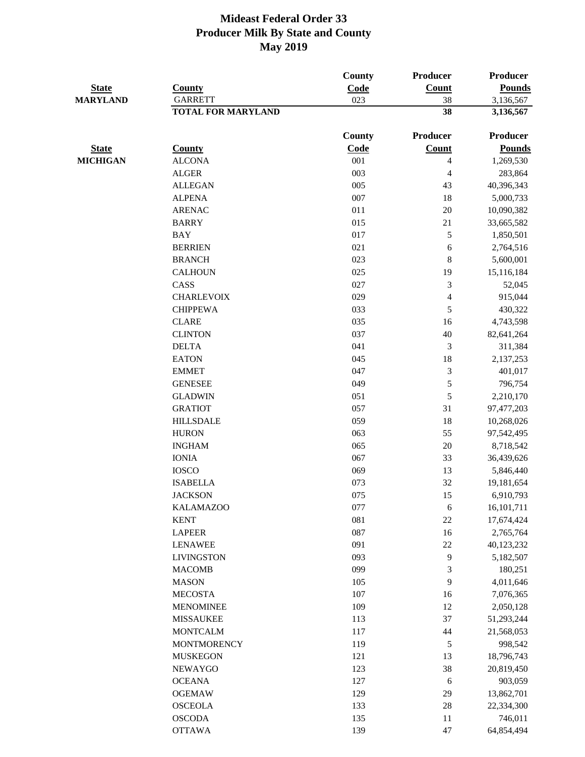| <b>State</b><br><b>MARYLAND</b> | <b>County</b><br><b>GARRETT</b> | County<br>Code<br>023 | <b>Producer</b><br>Count<br>38 | Producer<br><b>Pounds</b><br>3,136,567 |
|---------------------------------|---------------------------------|-----------------------|--------------------------------|----------------------------------------|
|                                 | <b>TOTAL FOR MARYLAND</b>       |                       | 38                             | 3,136,567                              |
|                                 |                                 | County                | <b>Producer</b>                | Producer                               |
| <b>State</b>                    | <b>County</b>                   | Code                  | Count                          | <b>Pounds</b>                          |
| <b>MICHIGAN</b>                 | <b>ALCONA</b>                   | 001                   | $\overline{\mathcal{L}}$       | 1,269,530                              |
|                                 | <b>ALGER</b>                    | 003                   | $\overline{\mathcal{A}}$       | 283,864                                |
|                                 | <b>ALLEGAN</b>                  | 005                   | 43                             | 40,396,343                             |
|                                 | <b>ALPENA</b>                   | 007                   | 18                             | 5,000,733                              |
|                                 | <b>ARENAC</b>                   | 011                   | 20                             | 10,090,382                             |
|                                 | <b>BARRY</b>                    | 015                   | 21                             | 33,665,582                             |
|                                 | <b>BAY</b>                      | 017                   | 5                              | 1,850,501                              |
|                                 | <b>BERRIEN</b>                  | 021                   | 6                              | 2,764,516                              |
|                                 | <b>BRANCH</b>                   | 023                   | $\,8\,$                        | 5,600,001                              |
|                                 | <b>CALHOUN</b>                  | 025                   | 19                             | 15,116,184                             |
|                                 | CASS                            | 027                   | 3                              | 52,045                                 |
|                                 | <b>CHARLEVOIX</b>               | 029                   | $\overline{\mathcal{L}}$       | 915,044                                |
|                                 | <b>CHIPPEWA</b>                 | 033                   | 5                              | 430,322                                |
|                                 | <b>CLARE</b>                    | 035                   | 16                             | 4,743,598                              |
|                                 | <b>CLINTON</b>                  | 037                   | 40                             | 82,641,264                             |
|                                 | <b>DELTA</b>                    | 041                   | 3                              | 311,384                                |
|                                 | <b>EATON</b>                    | 045                   | 18                             | 2,137,253                              |
|                                 | <b>EMMET</b>                    | 047                   | 3                              | 401,017                                |
|                                 | <b>GENESEE</b>                  | 049                   | 5                              | 796,754                                |
|                                 | <b>GLADWIN</b>                  | 051                   | 5                              | 2,210,170                              |
|                                 | <b>GRATIOT</b>                  | 057                   | 31                             | 97,477,203                             |
|                                 | <b>HILLSDALE</b>                | 059                   | 18                             | 10,268,026                             |
|                                 | <b>HURON</b>                    | 063                   | 55                             | 97,542,495                             |
|                                 | <b>INGHAM</b>                   | 065                   | $20\,$                         | 8,718,542                              |
|                                 | <b>IONIA</b>                    | 067                   | 33                             | 36,439,626                             |
|                                 | <b>IOSCO</b>                    | 069                   | 13                             | 5,846,440                              |
|                                 | <b>ISABELLA</b>                 | 073                   | 32                             | 19,181,654                             |
|                                 | <b>JACKSON</b>                  | 075                   | 15                             | 6,910,793                              |
|                                 | <b>KALAMAZOO</b>                | 077                   | 6                              | 16,101,711                             |
|                                 | <b>KENT</b>                     | 081                   | $22\,$                         | 17,674,424                             |
|                                 | <b>LAPEER</b>                   | 087                   | 16                             | 2,765,764                              |
|                                 | <b>LENAWEE</b>                  | 091                   | 22                             | 40,123,232                             |
|                                 | <b>LIVINGSTON</b>               | 093                   | $\overline{9}$                 | 5,182,507                              |
|                                 | <b>MACOMB</b>                   | 099                   | 3                              | 180,251                                |
|                                 | <b>MASON</b>                    | 105                   | 9                              | 4,011,646                              |
|                                 | <b>MECOSTA</b>                  | 107                   | 16                             | 7,076,365                              |
|                                 | <b>MENOMINEE</b>                | 109                   | 12                             | 2,050,128                              |
|                                 | <b>MISSAUKEE</b>                | 113                   | 37                             | 51,293,244                             |
|                                 | <b>MONTCALM</b>                 | 117                   | 44                             | 21,568,053                             |
|                                 | <b>MONTMORENCY</b>              | 119                   | 5                              | 998,542                                |
|                                 | <b>MUSKEGON</b>                 | 121                   | 13                             | 18,796,743                             |
|                                 | <b>NEWAYGO</b>                  | 123                   | 38                             | 20,819,450                             |
|                                 | <b>OCEANA</b>                   | 127                   | 6                              | 903,059                                |
|                                 | <b>OGEMAW</b>                   | 129                   | 29                             | 13,862,701                             |
|                                 | <b>OSCEOLA</b>                  | 133                   | $28\,$                         | 22,334,300                             |
|                                 | <b>OSCODA</b>                   | 135                   | 11                             | 746,011                                |
|                                 | <b>OTTAWA</b>                   | 139                   | 47                             | 64,854,494                             |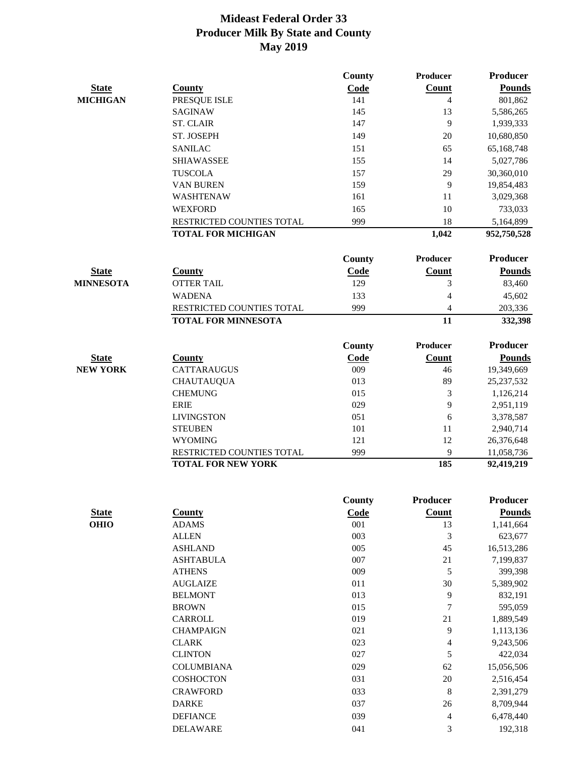|                  |                            | County | Producer        | <b>Producer</b> |
|------------------|----------------------------|--------|-----------------|-----------------|
| <b>State</b>     | <b>County</b>              | Code   | Count           | <b>Pounds</b>   |
| <b>MICHIGAN</b>  | PRESQUE ISLE               | 141    | $\overline{4}$  | 801,862         |
|                  | <b>SAGINAW</b>             | 145    | 13              | 5,586,265       |
|                  | <b>ST. CLAIR</b>           | 147    | 9               | 1,939,333       |
|                  | ST. JOSEPH                 | 149    | 20              | 10,680,850      |
|                  | <b>SANILAC</b>             | 151    | 65              | 65,168,748      |
|                  | <b>SHIAWASSEE</b>          | 155    | 14              | 5,027,786       |
|                  | <b>TUSCOLA</b>             | 157    | 29              | 30,360,010      |
|                  | <b>VAN BUREN</b>           | 159    | 9               | 19,854,483      |
|                  | <b>WASHTENAW</b>           | 161    | 11              | 3,029,368       |
|                  | <b>WEXFORD</b>             | 165    | 10              | 733,033         |
|                  | RESTRICTED COUNTIES TOTAL  | 999    | 18              | 5,164,899       |
|                  | <b>TOTAL FOR MICHIGAN</b>  |        | 1,042           | 952,750,528     |
|                  |                            | County | Producer        | <b>Producer</b> |
| <b>State</b>     | <b>County</b>              | Code   | Count           | <b>Pounds</b>   |
| <b>MINNESOTA</b> | <b>OTTER TAIL</b>          | 129    | 3               | 83,460          |
|                  | <b>WADENA</b>              | 133    | $\overline{4}$  | 45,602          |
|                  | RESTRICTED COUNTIES TOTAL  | 999    | 4               | 203,336         |
|                  | <b>TOTAL FOR MINNESOTA</b> |        | 11              | 332,398         |
|                  |                            | County | <b>Producer</b> | <b>Producer</b> |
| <b>State</b>     | County                     | Code   | Count           | <b>Pounds</b>   |
| <b>NEW YORK</b>  | <b>CATTARAUGUS</b>         | 009    | 46              | 19,349,669      |
|                  | <b>CHAUTAUQUA</b>          | 013    | 89              | 25, 237, 532    |
|                  | <b>CHEMUNG</b>             | 015    | 3               | 1,126,214       |
|                  | <b>ERIE</b>                | 029    | 9               | 2,951,119       |
|                  | <b>LIVINGSTON</b>          | 051    | 6               | 3,378,587       |
|                  | <b>STEUBEN</b>             | 101    | 11              | 2,940,714       |
|                  | <b>WYOMING</b>             | 121    | 12              | 26,376,648      |
|                  | RESTRICTED COUNTIES TOTAL  | 999    | 9               | 11,058,736      |
|                  | <b>TOTAL FOR NEW YORK</b>  |        | 185             | 92,419,219      |

|              |                   | County | <b>Producer</b> | <b>Producer</b> |
|--------------|-------------------|--------|-----------------|-----------------|
| <b>State</b> | <b>County</b>     | Code   | Count           | <b>Pounds</b>   |
| <b>OHIO</b>  | <b>ADAMS</b>      | 001    | 13              | 1,141,664       |
|              | <b>ALLEN</b>      | 003    | 3               | 623,677         |
|              | <b>ASHLAND</b>    | 005    | 45              | 16,513,286      |
|              | <b>ASHTABULA</b>  | 007    | 21              | 7,199,837       |
|              | <b>ATHENS</b>     | 009    | 5               | 399,398         |
|              | <b>AUGLAIZE</b>   | 011    | 30              | 5,389,902       |
|              | <b>BELMONT</b>    | 013    | 9               | 832,191         |
|              | <b>BROWN</b>      | 015    | 7               | 595,059         |
|              | <b>CARROLL</b>    | 019    | 21              | 1,889,549       |
|              | <b>CHAMPAIGN</b>  | 021    | 9               | 1,113,136       |
|              | <b>CLARK</b>      | 023    | 4               | 9,243,506       |
|              | <b>CLINTON</b>    | 027    | 5               | 422,034         |
|              | <b>COLUMBIANA</b> | 029    | 62              | 15,056,506      |
|              | <b>COSHOCTON</b>  | 031    | 20              | 2,516,454       |
|              | <b>CRAWFORD</b>   | 033    | 8               | 2,391,279       |
|              | <b>DARKE</b>      | 037    | 26              | 8,709,944       |
|              | <b>DEFIANCE</b>   | 039    | 4               | 6,478,440       |
|              | <b>DELAWARE</b>   | 041    | 3               | 192,318         |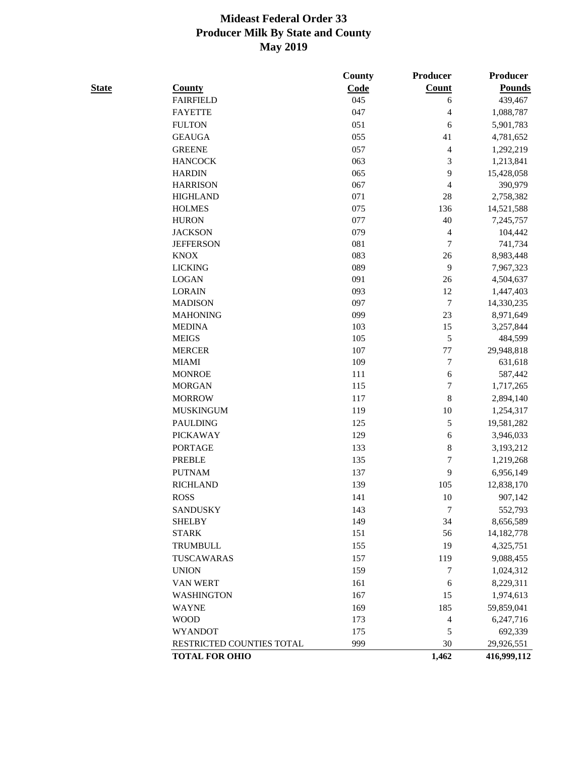| <b>State</b> | <b>County</b>               | County<br>Code | Producer<br><b>Count</b> | Producer<br><b>Pounds</b> |
|--------------|-----------------------------|----------------|--------------------------|---------------------------|
|              | <b>FAIRFIELD</b>            | 045            | 6                        | 439,467                   |
|              | <b>FAYETTE</b>              | 047            | 4                        | 1,088,787                 |
|              | <b>FULTON</b>               | 051            | 6                        | 5,901,783                 |
|              | <b>GEAUGA</b>               | 055            | 41                       | 4,781,652                 |
|              | <b>GREENE</b>               | 057            | $\overline{\mathbf{4}}$  | 1,292,219                 |
|              | <b>HANCOCK</b>              | 063            | 3                        | 1,213,841                 |
|              | <b>HARDIN</b>               | 065            | 9                        | 15,428,058                |
|              | <b>HARRISON</b>             | 067            | 4                        | 390,979                   |
|              | <b>HIGHLAND</b>             | 071            | 28                       | 2,758,382                 |
|              | <b>HOLMES</b>               | 075            | 136                      | 14,521,588                |
|              | <b>HURON</b>                | 077            | 40                       | 7,245,757                 |
|              | <b>JACKSON</b>              | 079            | 4                        | 104,442                   |
|              | <b>JEFFERSON</b>            | 081            | 7                        | 741,734                   |
|              | <b>KNOX</b>                 | 083            | 26                       | 8,983,448                 |
|              | <b>LICKING</b>              | 089            | 9                        | 7,967,323                 |
|              | <b>LOGAN</b>                | 091            | 26                       | 4,504,637                 |
|              | <b>LORAIN</b>               | 093            | 12                       | 1,447,403                 |
|              | <b>MADISON</b>              | 097            | $\overline{7}$           | 14,330,235                |
|              | <b>MAHONING</b>             | 099            | 23                       | 8,971,649                 |
|              | <b>MEDINA</b>               | 103            | 15                       | 3,257,844                 |
|              | <b>MEIGS</b>                | 105            | 5                        | 484,599                   |
|              | <b>MERCER</b>               | 107            | 77                       | 29,948,818                |
|              | <b>MIAMI</b>                | 109            | $\overline{7}$           | 631,618                   |
|              | <b>MONROE</b>               | 111            | $\sqrt{6}$               | 587,442                   |
|              | <b>MORGAN</b>               | 115            | $\overline{7}$           | 1,717,265                 |
|              | <b>MORROW</b>               | 117            | 8                        | 2,894,140                 |
|              | <b>MUSKINGUM</b>            | 119            | 10                       | 1,254,317                 |
|              | <b>PAULDING</b>             | 125            | 5                        | 19,581,282                |
|              | <b>PICKAWAY</b>             | 129            | $\sqrt{6}$               | 3,946,033                 |
|              | <b>PORTAGE</b>              | 133            | $\,8$                    | 3,193,212                 |
|              | <b>PREBLE</b>               | 135            | $\overline{7}$           | 1,219,268                 |
|              | <b>PUTNAM</b>               | 137            | 9                        | 6,956,149                 |
|              | <b>RICHLAND</b>             | 139            | 105                      | 12,838,170                |
|              | <b>ROSS</b>                 | 141            | 10                       | 907,142                   |
|              | <b>SANDUSKY</b>             | 143            | 7                        | 552,793                   |
|              | <b>SHELBY</b>               | 149            | 34                       | 8,656,589                 |
|              | <b>STARK</b>                | 151            | 56                       | 14, 182, 778              |
|              | <b>TRUMBULL</b>             | 155            | 19                       | 4,325,751                 |
|              | TUSCAWARAS                  | 157            | 119                      | 9,088,455                 |
|              | <b>UNION</b>                | 159            | 7                        | 1,024,312                 |
|              | VAN WERT                    | 161            | 6                        | 8,229,311                 |
|              | <b>WASHINGTON</b>           | 167            | 15                       | 1,974,613                 |
|              |                             |                |                          |                           |
|              | <b>WAYNE</b><br><b>WOOD</b> | 169            | 185                      | 59,859,041                |
|              | <b>WYANDOT</b>              | 173<br>175     | 4<br>5                   | 6,247,716<br>692,339      |
|              |                             |                |                          |                           |
|              | RESTRICTED COUNTIES TOTAL   | 999            | 30                       | 29,926,551                |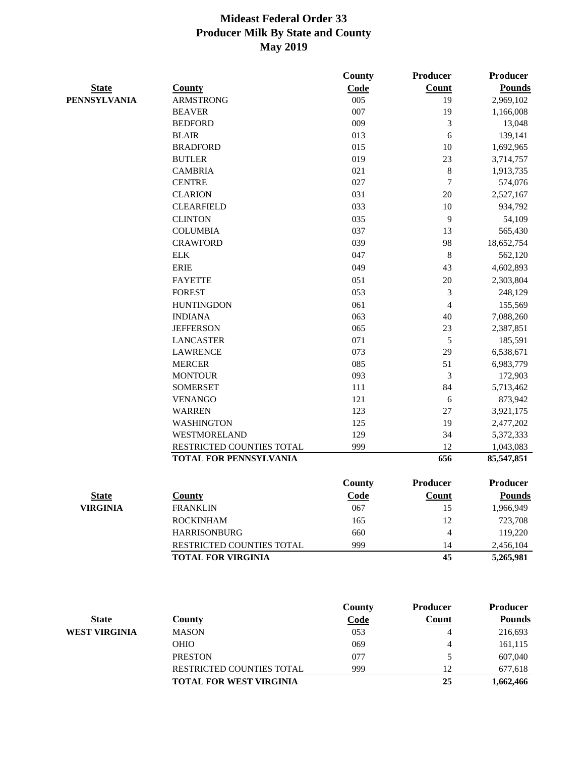|                     |                               | <b>County</b> | <b>Producer</b> | <b>Producer</b> |
|---------------------|-------------------------------|---------------|-----------------|-----------------|
| <b>State</b>        | <b>County</b>                 | Code          | Count           | <b>Pounds</b>   |
| <b>PENNSYLVANIA</b> | <b>ARMSTRONG</b>              | 005           | 19              | 2,969,102       |
|                     | <b>BEAVER</b>                 | 007           | 19              | 1,166,008       |
|                     | <b>BEDFORD</b>                | 009           | 3               | 13,048          |
|                     | <b>BLAIR</b>                  | 013           | 6               | 139,141         |
|                     | <b>BRADFORD</b>               | 015           | 10              | 1,692,965       |
|                     | <b>BUTLER</b>                 | 019           | 23              | 3,714,757       |
|                     | <b>CAMBRIA</b>                | 021           | 8               | 1,913,735       |
|                     | <b>CENTRE</b>                 | 027           | 7               | 574,076         |
|                     | <b>CLARION</b>                | 031           | 20              | 2,527,167       |
|                     | <b>CLEARFIELD</b>             | 033           | 10              | 934,792         |
|                     | <b>CLINTON</b>                | 035           | 9               | 54,109          |
|                     | <b>COLUMBIA</b>               | 037           | 13              | 565,430         |
|                     | <b>CRAWFORD</b>               | 039           | 98              | 18,652,754      |
|                     | <b>ELK</b>                    | 047           | $\,8\,$         | 562,120         |
|                     | <b>ERIE</b>                   | 049           | 43              | 4,602,893       |
|                     | <b>FAYETTE</b>                | 051           | 20              | 2,303,804       |
|                     | <b>FOREST</b>                 | 053           | 3               | 248,129         |
|                     | <b>HUNTINGDON</b>             | 061           | $\overline{4}$  | 155,569         |
|                     | <b>INDIANA</b>                | 063           | 40              | 7,088,260       |
|                     | <b>JEFFERSON</b>              | 065           | 23              | 2,387,851       |
|                     | <b>LANCASTER</b>              | 071           | 5               | 185,591         |
|                     | <b>LAWRENCE</b>               | 073           | 29              | 6,538,671       |
|                     | <b>MERCER</b>                 | 085           | 51              | 6,983,779       |
|                     | <b>MONTOUR</b>                | 093           | 3               | 172,903         |
|                     | <b>SOMERSET</b>               | 111           | 84              | 5,713,462       |
|                     | <b>VENANGO</b>                | 121           | 6               | 873,942         |
|                     | <b>WARREN</b>                 | 123           | 27              | 3,921,175       |
|                     | <b>WASHINGTON</b>             | 125           | 19              | 2,477,202       |
|                     | WESTMORELAND                  | 129           | 34              | 5,372,333       |
|                     | RESTRICTED COUNTIES TOTAL     | 999           | 12              | 1,043,083       |
|                     | <b>TOTAL FOR PENNSYLVANIA</b> |               | 656             | 85,547,851      |
|                     |                               | County        | <b>Producer</b> | <b>Producer</b> |
| <b>State</b>        | County                        | <b>Code</b>   | Count           | <b>Pounds</b>   |
| <b>VIRGINIA</b>     | <b>FRANKLIN</b>               | 067           | 15              | 1,966,949       |
|                     | <b>ROCKINHAM</b>              | 165           | 12              | 723,708         |
|                     | <b>HARRISONBURG</b>           | 660           | $\overline{4}$  | 119,220         |
|                     | RESTRICTED COUNTIES TOTAL     | 999           | 14              | 2,456,104       |
|                     | <b>TOTAL FOR VIRGINIA</b>     |               | 45              | 5,265,981       |
|                     |                               |               |                 |                 |
|                     |                               | <b>County</b> | <b>Producer</b> | Producer        |

|               |                                  | County      | Proqueer | <b>Producer</b> |
|---------------|----------------------------------|-------------|----------|-----------------|
| <b>State</b>  | Countv                           | <b>Code</b> | Count    | <b>Pounds</b>   |
| WEST VIRGINIA | <b>MASON</b>                     | 053         |          | 216,693         |
|               | <b>OHIO</b>                      | 069         |          | 161,115         |
|               | <b>PRESTON</b>                   | 077         |          | 607,040         |
|               | <b>RESTRICTED COUNTIES TOTAL</b> | 999         | 12       | 677,618         |
|               | <b>TOTAL FOR WEST VIRGINIA</b>   |             | 25       | 1,662,466       |